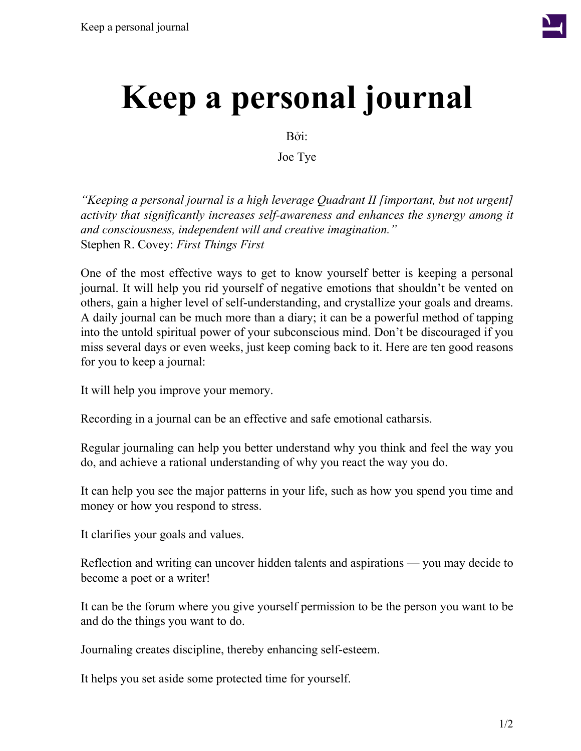

## **Keep a personal journal**

Bởi:

Joe Tye

*"Keeping a personal journal is a high leverage Quadrant II [important, but not urgent] activity that significantly increases self-awareness and enhances the synergy among it and consciousness, independent will and creative imagination."* Stephen R. Covey: *First Things First*

One of the most effective ways to get to know yourself better is keeping a personal journal. It will help you rid yourself of negative emotions that shouldn't be vented on others, gain a higher level of self-understanding, and crystallize your goals and dreams. A daily journal can be much more than a diary; it can be a powerful method of tapping into the untold spiritual power of your subconscious mind. Don't be discouraged if you miss several days or even weeks, just keep coming back to it. Here are ten good reasons for you to keep a journal:

It will help you improve your memory.

Recording in a journal can be an effective and safe emotional catharsis.

Regular journaling can help you better understand why you think and feel the way you do, and achieve a rational understanding of why you react the way you do.

It can help you see the major patterns in your life, such as how you spend you time and money or how you respond to stress.

It clarifies your goals and values.

Reflection and writing can uncover hidden talents and aspirations — you may decide to become a poet or a writer!

It can be the forum where you give yourself permission to be the person you want to be and do the things you want to do.

Journaling creates discipline, thereby enhancing self-esteem.

It helps you set aside some protected time for yourself.